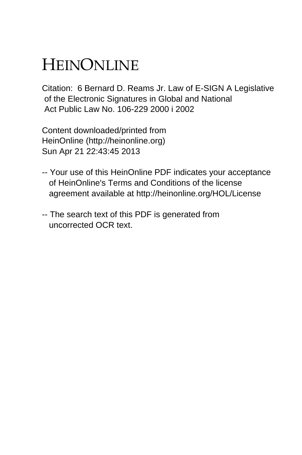## HEINONLINE

Citation: 6 Bernard D. Reams Jr. Law of E-SIGN A Legislative of the Electronic Signatures in Global and National Act Public Law No. 106-229 2000 i 2002

Content downloaded/printed from HeinOnline (http://heinonline.org) Sun Apr 21 22:43:45 2013

- -- Your use of this HeinOnline PDF indicates your acceptance of HeinOnline's Terms and Conditions of the license agreement available at http://heinonline.org/HOL/License
- -- The search text of this PDF is generated from uncorrected OCR text.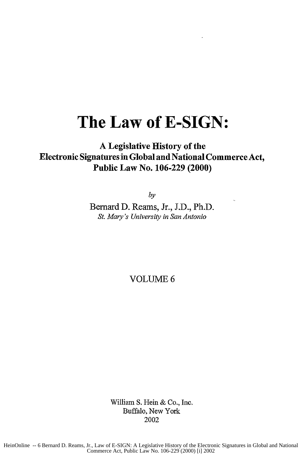## **The Law of E-SIGN:**

## **A** Legislative History of the **Electronic Signatures in Global and National Commerce Act, Public Law No. 106-229 (2000)**

*by*

Bernard **D.** Reams, Jr., **J.D.,** Ph.D. *St. Mary's University in San Antonio*

VOLUME 6

William S. Hein & Co., Inc. Buffalo, New York 2002

HeinOnline -- 6 Bernard D. Reams, Jr., Law of E-SIGN: A Legislative History of the Electronic Signatures in Global and National Commerce Act, Public Law No. 106-229 (2000) [i] 2002